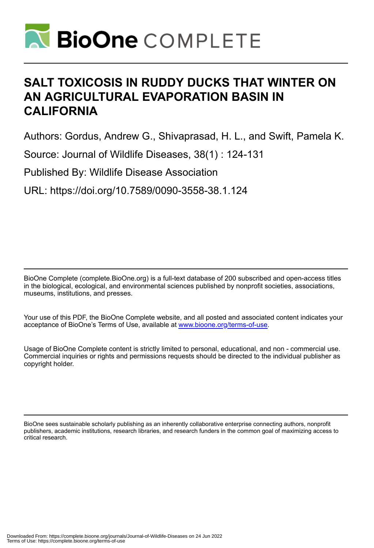

# **SALT TOXICOSIS IN RUDDY DUCKS THAT WINTER ON AN AGRICULTURAL EVAPORATION BASIN IN CALIFORNIA**

Authors: Gordus, Andrew G., Shivaprasad, H. L., and Swift, Pamela K.

Source: Journal of Wildlife Diseases, 38(1) : 124-131

Published By: Wildlife Disease Association

URL: https://doi.org/10.7589/0090-3558-38.1.124

BioOne Complete (complete.BioOne.org) is a full-text database of 200 subscribed and open-access titles in the biological, ecological, and environmental sciences published by nonprofit societies, associations, museums, institutions, and presses.

Your use of this PDF, the BioOne Complete website, and all posted and associated content indicates your acceptance of BioOne's Terms of Use, available at www.bioone.org/terms-of-use.

Usage of BioOne Complete content is strictly limited to personal, educational, and non - commercial use. Commercial inquiries or rights and permissions requests should be directed to the individual publisher as copyright holder.

BioOne sees sustainable scholarly publishing as an inherently collaborative enterprise connecting authors, nonprofit publishers, academic institutions, research libraries, and research funders in the common goal of maximizing access to critical research.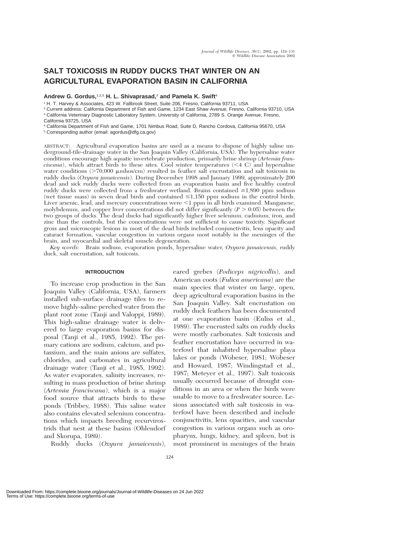# **SALT TOXICOSIS IN RUDDY DUCKS THAT WINTER ON AN AGRICULTURAL EVAPORATION BASIN IN CALIFORNIA**

**Andrew G. Gordus,**1,2,5 **H. L. Shivaprasad,**<sup>3</sup> **and Pamela K. Swift**<sup>4</sup>

<sup>1</sup> H. T. Harvey & Associates, 423 W. Fallbrook Street, Suite 206, Fresno, California 93711, USA

<sup>2</sup> Current address: California Department of Fish and Game, 1234 East Shaw Avenue, Fresno, California 93710, USA <sup>3</sup> California Veterinary Diagnostic Laboratory System, University of California, 2789 S. Orange Avenue, Fresno,

California 93725, USA

<sup>4</sup> California Department of Fish and Game, 1701 Nimbus Road, Suite D, Rancho Cordova, California 95670, USA

<sup>5</sup> Corresponding author (email: agordus@dfg.ca.gov)

ABSTRACT: Agricultural evaporation basins are used as a means to dispose of highly saline underground-tile-drainage water in the San Joaquin Valley (California, USA). The hypersaline water conditions encourage high aquatic invertebrate production, primarily brine shrimp (*Artemia fran* $ciscana$ ), which attract birds to these sites. Cool winter temperatures  $(<$  4 C) and hypersaline water conditions ( $> 70,000$   $\mu$ mhos/cm) resulted in feather salt encrustation and salt toxicosis in ruddy ducks (*Oxyura jamaicensis*). During December 1998 and January 1999, approximately 200 dead and sick ruddy ducks were collected from an evaporation basin and five healthy control ruddy ducks were collected from a freshwater wetland. Brains contained  $\geq$ 1,890 ppm sodium (wet tissue mass) in seven dead birds and contained  $\leq 1,150$  ppm sodium in the control birds. Liver arsenic, lead, and mercury concentrations were <1 ppm in all birds examined. Manganese, molybdenum, and copper liver concentrations did not differ significantly  $(P > 0.05)$  between the two groups of ducks. The dead ducks had significantly higher liver selenium, cadmium, iron, and zinc than the controls, but the concentrations were not sufficient to cause toxicity. Significant gross and microscopic lesions in most of the dead birds included conjunctivitis, lens opacity and cataract formation, vascular congestion in various organs most notably in the meninges of the brain, and myocardial and skeletal muscle degeneration.

*Key words:* Brain sodium, evaporation ponds, hypersaline water, *Oxyura jamaicensis,* ruddy duck, salt encrustation, salt toxicosis.

# **INTRODUCTION**

To increase crop production in the San Joaquin Valley (California, USA), farmers installed sub-surface drainage tiles to remove highly-saline perched water from the plant root zone (Tanji and Valoppi, 1989). This high-saline drainage water is delivered to large evaporation basins for disposal (Tanji et al., 1985, 1992). The primary cations are sodium, calcium, and potassium, and the main anions are sulfates, chlorides, and carbonates in agricultural drainage water (Tanji et al., 1985, 1992). As water evaporates, salinity increases, resulting in mass production of brine shrimp (*Artemia franciscana*), which is a major food source that attracts birds to these ponds (Tribbey, 1988). This saline water also contains elevated selenium concentrations which impacts breeding recurvirostrids that nest at these basins (Ohlendorf and Skorupa, 1989).

Ruddy ducks (*Oxyura jamaicensis*),

eared grebes (*Podiceps nigricollis*), and American coots (*Fulica americana*) are the main species that winter on large, open, deep agricultural evaporation basins in the San Joaquin Valley. Salt encrustation on ruddy duck feathers has been documented at one evaporation basin (Euliss et al., 1989). The encrusted salts on ruddy ducks were mostly carbonates. Salt toxicosis and feather encrustation have occurred in waterfowl that inhabited hypersaline playa lakes or ponds (Wobeser, 1981; Wobeser and Howard, 1987; Windingstad et al., 1987; Meteyer et al., 1997). Salt toxicosis usually occurred because of drought conditions in an area or when the birds were unable to move to a freshwater source. Lesions associated with salt toxicosis in waterfowl have been described and include conjunctivitis, lens opacities, and vascular congestion in various organs such as oropharynx, lungs, kidney, and spleen, but is most prominent in meninges of the brain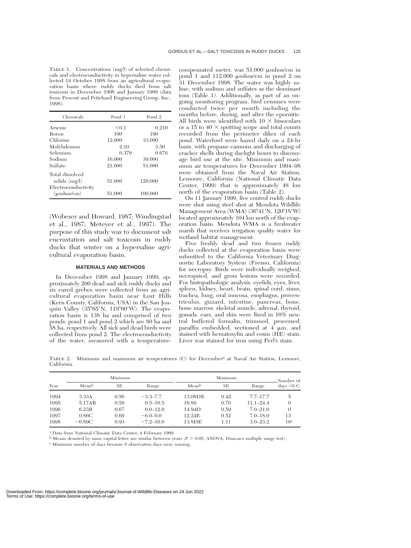TABLE 1. Concentrations (mg/l) of selected chemicals and electroconductivity in hypersaline water collected 14 October 1998 from an agricultural evaporation basin where ruddy ducks died from salt toxicosis in December 1998 and January 1999 (data from Provost and Pritchard Engineering Group, Inc., 1998).

| Chemicals           | Pond 1 | Pond <sub>2</sub> |
|---------------------|--------|-------------------|
| Arsenic             | < 0.1  | 0.210             |
| Boron               | 100    | 190               |
| Chlorine            | 12,000 | 33,000            |
| Molybdenum          | 2.10   | 3.50              |
| Selenium            | 0.379  | 0.676             |
| Sodium              | 16,000 | 39,000            |
| Sulfate             | 21,000 | 51,000            |
| Total dissolved     |        |                   |
| solids $(mg/l)$     | 51,000 | 120,000           |
| Electroconductivity |        |                   |
| $(\mu$ mhos/cm $)$  | 51,000 | 100,000           |

(Wobeser and Howard, 1987; Windingstad et al., 1987; Meteyer et al., 1997). The purpose of this study was to document salt encrustation and salt toxicosis in ruddy ducks that winter on a hypersaline agricultural evaporation basin.

#### **MATERIALS AND METHODS**

In December 1998 and January 1999, approximately 200 dead and sick ruddy ducks and six eared grebes were collected from an agricultural evaporation basin near Lost Hills (Kern County, California, USA) in the San Joaquin Valley  $(35^{\circ}65'N, 119^{\circ}60'W)$ . The evaporation basin is 138 ha and comprised of two ponds: pond 1 and pond 2 which are 80 ha and 58 ha, respectively. All sick and dead birds were collected from pond 2. The electroconductivity of the water, measured with a temperature-

compensated meter, was  $51,000 \mu m$ hos/cm in pond 1 and 112,000  $\mu$ mhos/cm in pond 2 on 31 December 1998. The water was highly saline, with sodium and sulfates as the dominant ions (Table 1). Additionally, as part of an ongoing monitoring program, bird censuses were conducted twice per month including the months before, during, and after the epornitic. All birds were identified with  $10 \times$  binoculars or a 15 to 40  $\times$  spotting scope and total counts recorded from the perimeter dikes of each pond. Waterfowl were hazed daily on a 24-hr basis, with propane cannons and discharging of cracker shells during daylight hours to discourage bird use at the site. Minimum and maximum air temperatures for December 1994–98 were obtained from the Naval Air Station, Lemoore, California (National Climatic Data Center, 1999) that is approximately 48 km north of the evaporation basin (Table 2).

On 11 January 1999, five control ruddy ducks were shot using steel shot at Mendota Wildlife Management Area (WMA) (36°41'N, 120°18'W) located approximately 104 km north of the evaporation basin. Mendota WMA is a freshwater marsh that receives irrigation quality water for wetland habitat management.

Five freshly dead and two frozen ruddy ducks collected at the evaporation basin were submitted to the California Veterinary Diagnostic Laboratory System (Fresno, California) for necropsy. Birds were individually weighed, necropsied, and gross lesions were recorded. For histopathologic analysis, eyelids, eyes, liver, spleen, kidney, heart, brain, spinal cord, sinus, trachea, lung, oral mucosa, esophagus, proventriculus, gizzard, intestine, pancreas, bone, bone marrow, skeletal muscle, adrenal, thyroid, gonads, ears, and skin were fixed in 10% neutral buffered formalin, trimmed, processed, paraffin embedded, sectioned at  $4 \mu m$ , and stained with hematoxylin and eosin (HE) stain. Liver was stained for iron using Perl's stain.

TABLE 2. Minimum and maximum air temperatures (C) for Decembera at Naval Air Station, Lemoore, California.

|      | Minimum           |      |               | Maximum           |      |               | Number of        |
|------|-------------------|------|---------------|-------------------|------|---------------|------------------|
| Year | Mean <sup>b</sup> | SЕ   | Range         | Mean <sup>b</sup> | SЕ   | Range         | $\rm{days}$ <0 C |
| 1994 | 3.33A             | 0.56 | $-3.3 - 7.7$  | 13.08DE           | 0.42 | $7.7 - 17.7$  | $\overline{5}$   |
| 1995 | 5.17AB            | 0.59 | $0.5 - 10.5$  | 16.89             | 0.70 | $11.1 - 24.4$ | $\theta$         |
| 1996 | 6.23B             | 0.67 | $0.0 - 12.0$  | 14.94D            | 0.59 | $7.0 - 21.0$  | $\Omega$         |
| 1997 | 0.86C             | 0.69 | $-6.0 - 9.0$  | 12.24E            | 0.52 | $7.0 - 18.0$  | 13               |
| 1998 | $-0.89C$          | 0.93 | $-7.2 - 10.0$ | 13.8DE            | 1.11 | $3.0 - 23.2$  | $16^{\circ}$     |

<sup>a</sup> Data from National Climatic Data Center, 4 February 1999.

<sup>b</sup> Means denoted by same capital letter are similar between years (*P* - 0.05, ANOVA; Duncan's multiple range test).

<sup>c</sup> Minimum number of days because 8 observation days were missing.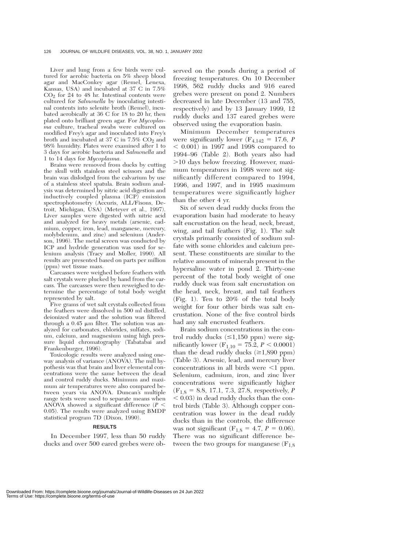Liver and lung from a few birds were cultured for aerobic bacteria on 5% sheep blood agar and MacConkey agar (Remel, Lenexa, Kansas, USA) and incubated at 37 C in 7.5%  $CO<sub>2</sub>$  for 24 to 48 hr. Intestinal contents were cultured for *Salmonella* by inoculating intestinal contents into selenite broth (Remel), incubated aerobically at 36 C for 18 to 20 hr, then plated onto brilliant green agar. For *Mycoplasma* culture, tracheal swabs were cultured on modified Frey's agar and inoculated into Frey's broth and incubated at 37 C in  $7.5\%$  CO<sub>2</sub> and 98% humidity. Plates were examined after 1 to 3 days for aerobic bacteria and *Salmonella* and 1 to 14 days for *Mycoplasma.*

Brains were removed from ducks by cutting the skull with stainless steel scissors and the brain was dislodged from the calvarium by use of a stainless steel spatula. Brain sodium analysis was determined by nitric acid digestion and inductively coupled plasma (ICP) emission spectrophotometry (Accuris, ALL/Fisons, Detroit, Michigan, USA) (Meteyer et al., 1997). Liver samples were digested with nitric acid and analyzed for heavy metals (arsenic, cadmium, copper, iron, lead, manganese, mercury, molybdenum, and zinc) and selenium (Anderson, 1996). The metal screen was conducted by ICP and hydride generation was used for selenium analysis (Tracy and Moller, 1990). All results are presented based on parts per million (ppm) wet tissue mass.

Carcasses were weighed before feathers with salt crystals were plucked by hand from the carcass. The carcasses were then reweighed to determine the percentage of total body weight represented by salt.

Five grams of wet salt crystals collected from the feathers were dissolved in 500 ml distilled, deionized water and the solution was filtered through a  $0.45 \mu m$  filter. The solution was analyzed for carbonates, chlorides, sulfates, sodium, calcium, and magnesium using high pressure liquid chromatography (Tabatabai and Frankenburger, 1996).

Toxicologic results were analyzed using oneway analysis of variance (ANOVA). The null hypothesis was that brain and liver elemental concentrations were the same between the dead and control ruddy ducks. Minimum and maximum air temperatures were also compared between years via ANOVA. Duncan's multiple range tests were used to separate means when ANOVA showed a significant difference (*P* 0.05). The results were analyzed using BMDP statistical program 7D (Dixon, 1990).

#### **RESULTS**

In December 1997, less than 50 ruddy ducks and over 500 eared grebes were ob-

served on the ponds during a period of freezing temperatures. On 10 December 1998, 562 ruddy ducks and 916 eared grebes were present on pond 2. Numbers decreased in late December (13 and 755, respectively) and by 13 January 1999, 12 ruddy ducks and 137 eared grebes were observed using the evaporation basin.

Minimum December temperatures were significantly lower ( $F_{4,142} = 17.6$ , *P*  $(0.001)$  in 1997 and 1998 compared to 1994–96 (Table 2). Both years also had -10 days below freezing. However, maximum temperatures in 1998 were not significantly different compared to 1994, 1996, and 1997, and in 1995 maximum temperatures were significantly higher than the other 4 yr.

Six of seven dead ruddy ducks from the evaporation basin had moderate to heavy salt encrustation on the head, neck, breast, wing, and tail feathers (Fig. 1). The salt crystals primarily consisted of sodium sulfate with some chlorides and calcium present. These constituents are similar to the relative amounts of minerals present in the hypersaline water in pond 2. Thirty-one percent of the total body weight of one ruddy duck was from salt encrustation on the head, neck, breast, and tail feathers (Fig. 1). Ten to 20% of the total body weight for four other birds was salt encrustation. None of the five control birds had any salt encrusted feathers.

Brain sodium concentrations in the control ruddy ducks  $(\leq 1,150 \text{ ppm})$  were significantly lower  $(F_{1,10} = 75.2, P \le 0.0001)$ than the dead ruddy ducks  $(\geq 1,890 \text{ ppm})$ (Table 3). Arsenic, lead, and mercury liver concentrations in all birds were  $\leq 1$  ppm. Selenium, cadmium, iron, and zinc liver concentrations were significantly higher  $(F_{1,8} = 8.8, 17.1, 7.3, 27.8, respectively, P$  $0.03$  in dead ruddy ducks than the control birds (Table 3). Although copper concentration was lower in the dead ruddy ducks than in the controls, the difference was not significant ( $F_{1,8} = 4.7$ ,  $P = 0.06$ ). There was no significant difference between the two groups for manganese  $(F_{1,8})$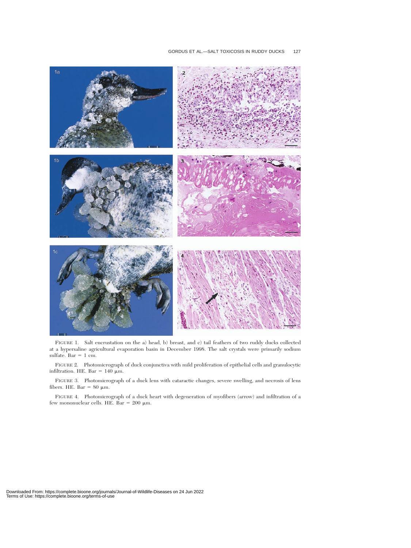

FIGURE 1. Salt encrustation on the a) head, b) breast, and c) tail feathers of two ruddy ducks collected at a hypersaline agricultural evaporation basin in December 1998. The salt crystals were primarily sodium sulfate. Bar  $= 1$  cm.

FIGURE 2. Photomicrograph of duck conjunctiva with mild proliferation of epithelial cells and granulocytic infiltration. HE. Bar =  $140 \mu m$ .

FIGURE 3. Photomicrograph of a duck lens with cataractic changes, severe swelling, and necrosis of lens fibers. HE. Bar =  $80 \mu m$ .

FIGURE 4. Photomicrograph of a duck heart with degeneration of myofibers (arrow) and infiltration of a few mononuclear cells. HE. Bar =  $200 \mu m$ .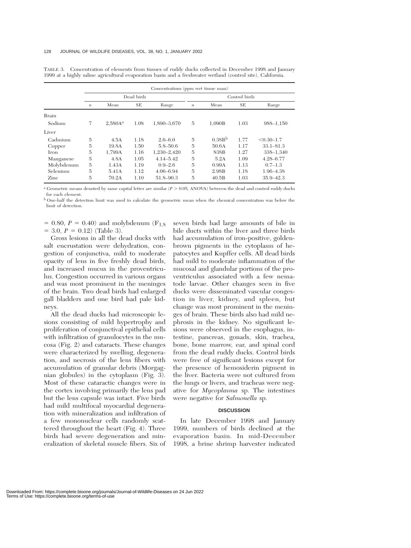|              | Concentrations (ppm wet tissue mass) |                     |           |               |                  |                    |           |                |
|--------------|--------------------------------------|---------------------|-----------|---------------|------------------|--------------------|-----------|----------------|
|              | Dead birds                           |                     |           | Control birds |                  |                    |           |                |
|              | $\boldsymbol{n}$                     | Mean                | <b>SE</b> | Range         | $\boldsymbol{n}$ | Mean               | <b>SE</b> | Range          |
| <b>Brain</b> |                                      |                     |           |               |                  |                    |           |                |
| Sodium       | 7                                    | 2.580A <sup>a</sup> | 1.08      | 1,890-3,670   | 5                | 1.090B             | 1.03      | 988-1,150      |
| Liver        |                                      |                     |           |               |                  |                    |           |                |
| Cadmium      | 5                                    | 4.5A                | 1.18      | $2.6 - 6.0$   | $\overline{5}$   | 0.38B <sup>b</sup> | 1.77      | $< 0.30 - 1.7$ |
| Copper       | 5                                    | 19.8A               | 1.50      | $5.8 - 50.6$  | 5                | 50.6A              | 1.17      | $33.1 - 81.3$  |
| Iron         | 5                                    | 1.799A              | 1.16      | 1,230-2,420   | 5                | 838B               | 1.27      | 338-1,340      |
| Manganese    | 5                                    | 4.8A                | 1.05      | $4.14 - 5.42$ | 5                | 5.2A               | 1.09      | 4.28-6.77      |
| Molybdenum   | 5                                    | 1.43A               | 1.19      | $0.9 - 2.6$   | 5                | 0.99A              | 1.13      | $0.7 - 1.3$    |
| Selenium     | 5                                    | 5.41A               | 1.12      | $4.06 - 6.94$ | 5                | 2.98B              | 1.18      | 1.96-4.38      |
| Zinc         | 5                                    | 70.2A               | 1.10      | 51.8-90.3     | 5                | 40.5B              | 1.03      | $35.9 - 42.3$  |

TABLE 3. Concentration of elements from tissues of ruddy ducks collected in December 1998 and January 1999 at a highly saline agricultural evaporation basin and a freshwater wetland (control site), California.

 $a$  Geometric means denoted by same capital letter are similar ( $P > 0.05$ , ANOVA) between the dead and control ruddy ducks for each element.

<sup>b</sup> One-half the detection limit was used to calculate the geometric mean when the chemical concentration was below the limit of detection.

 $= 0.80, P = 0.40$  and molybdenum (F<sub>1,8</sub>)  $=$  3.0,  $P = 0.12$ ) (Table 3).

Gross lesions in all the dead ducks with salt encrustation were dehydration, congestion of conjunctiva, mild to moderate opacity of lens in five freshly dead birds, and increased mucus in the proventriculus. Congestion occurred in various organs and was most prominent in the meninges of the brain. Two dead birds had enlarged gall bladders and one bird had pale kidneys.

All the dead ducks had microscopic lesions consisting of mild hypertrophy and proliferation of conjunctival epithelial cells with infiltration of granulocytes in the mucosa (Fig. 2) and cataracts. These changes were characterized by swelling, degeneration, and necrosis of the lens fibers with accumulation of granular debris (Morgagnian globules) in the cytoplasm (Fig. 3). Most of these cataractic changes were in the cortex involving primarily the lens pad but the lens capsule was intact. Five birds had mild multifocal myocardial degeneration with mineralization and infiltration of a few mononuclear cells randomly scattered throughout the heart (Fig. 4). Three birds had severe degeneration and mineralization of skeletal muscle fibers. Six of

seven birds had large amounts of bile in bile ducts within the liver and three birds had accumulation of iron-positive, goldenbrown pigments in the cytoplasm of hepatocytes and Kupffer cells. All dead birds had mild to moderate inflammation of the mucosal and glandular portions of the proventriculus associated with a few nematode larvae. Other changes seen in five ducks were disseminated vascular congestion in liver, kidney, and spleen, but change was most prominent in the meninges of brain. These birds also had mild nephrosis in the kidney. No significant lesions were observed in the esophagus, intestine, pancreas, gonads, skin, trachea, bone, bone marrow, ear, and spinal cord from the dead ruddy ducks. Control birds were free of significant lesions except for the presence of hemosiderin pigment in the liver. Bacteria were not cultured from the lungs or livers, and tracheas were negative for *Mycoplasma* sp. The intestines were negative for *Salmonella* sp.

#### **DISCUSSION**

In late December 1998 and January 1999, numbers of birds declined at the evaporation basin. In mid-December 1998, a brine shrimp harvester indicated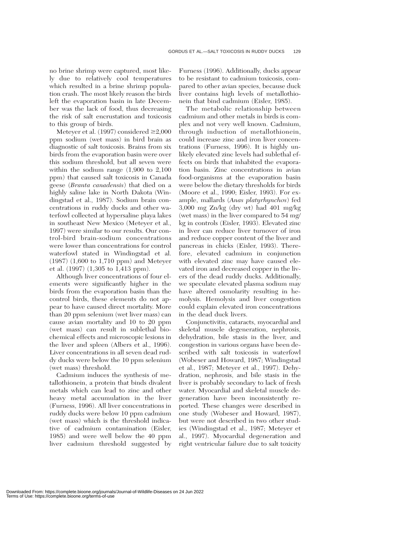no brine shrimp were captured, most likely due to relatively cool temperatures which resulted in a brine shrimp population crash. The most likely reason the birds left the evaporation basin in late December was the lack of food, thus decreasing the risk of salt encrustation and toxicosis to this group of birds.

Meteyer et al. (1997) considered  $\geq 2,000$ ppm sodium (wet mass) in bird brain as diagnostic of salt toxicosis. Brains from six birds from the evaporation basin were over this sodium threshold, but all seven were within the sodium range (1,900 to 2,100 ppm) that caused salt toxicosis in Canada geese (*Branta canadensis*) that died on a highly saline lake in North Dakota (Windingstad et al., 1987). Sodium brain concentrations in ruddy ducks and other waterfowl collected at hypersaline playa lakes in southeast New Mexico (Meteyer et al., 1997) were similar to our results. Our control-bird brain-sodium concentrations were lower than concentrations for control waterfowl stated in Windingstad et al. (1987) (1,600 to 1,710 ppm) and Meteyer et al. (1997) (1,305 to 1,413 ppm).

Although liver concentrations of four elements were significantly higher in the birds from the evaporation basin than the control birds, these elements do not appear to have caused direct mortality. More than 20 ppm selenium (wet liver mass) can cause avian mortality and 10 to 20 ppm (wet mass) can result in sublethal biochemical effects and microscopic lesions in the liver and spleen (Albers et al., 1996). Liver concentrations in all seven dead ruddy ducks were below the 10 ppm selenium (wet mass) threshold.

Cadmium induces the synthesis of metallothionein, a protein that binds divalent metals which can lead to zinc and other heavy metal accumulation in the liver (Furness, 1996). All liver concentrations in ruddy ducks were below 10 ppm cadmium (wet mass) which is the threshold indicative of cadmium contamination (Eisler, 1985) and were well below the 40 ppm liver cadmium threshold suggested by

Furness (1996). Additionally, ducks appear to be resistant to cadmium toxicosis, compared to other avian species, because duck liver contains high levels of metallothionein that bind cadmium (Eisler, 1985).

The metabolic relationship between cadmium and other metals in birds is complex and not very well known. Cadmium, through induction of metallothionein, could increase zinc and iron liver concentrations (Furness, 1996). It is highly unlikely elevated zinc levels had sublethal effects on birds that inhabited the evaporation basin. Zinc concentrations in avian food-organisms at the evaporation basin were below the dietary thresholds for birds (Moore et al., 1990; Eisler, 1993). For example, mallards (*Anas platyrhynchos*) fed 3,000 mg Zn/kg (dry wt) had 401 mg/kg (wet mass) in the liver compared to 54 mg/ kg in controls (Eisler, 1993). Elevated zinc in liver can reduce liver turnover of iron and reduce copper content of the liver and pancreas in chicks (Eisler, 1993). Therefore, elevated cadmium in conjunction with elevated zinc may have caused elevated iron and decreased copper in the livers of the dead ruddy ducks. Additionally, we speculate elevated plasma sodium may have altered osmolarity resulting in hemolysis. Hemolysis and liver congestion could explain elevated iron concentrations in the dead duck livers.

Conjunctivitis, cataracts, myocardial and skeletal muscle degeneration, nephrosis, dehydration, bile stasis in the liver, and congestion in various organs have been described with salt toxicosis in waterfowl (Wobeser and Howard, 1987; Windingstad et al., 1987; Meteyer et al., 1997). Dehydration, nephrosis, and bile stasis in the liver is probably secondary to lack of fresh water. Myocardial and skeletal muscle degeneration have been inconsistently reported. These changes were described in one study (Wobeser and Howard, 1987), but were not described in two other studies (Windingstad et al., 1987; Meteyer et al., 1997). Myocardial degeneration and right ventricular failure due to salt toxicity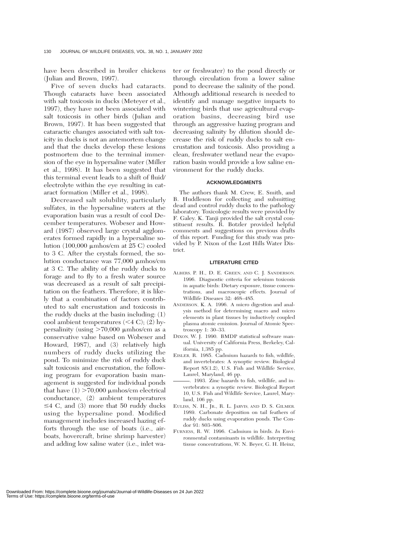have been described in broiler chickens (Julian and Brown, 1997).

Five of seven ducks had cataracts. Though cataracts have been associated with salt toxicosis in ducks (Meteyer et al., 1997), they have not been associated with salt toxicosis in other birds (Julian and Brown, 1997). It has been suggested that cataractic changes associated with salt toxicity in ducks is not an antemortem change and that the ducks develop these lesions postmortem due to the terminal immersion of the eye in hypersaline water (Miller et al., 1998). It has been suggested that this terminal event leads to a shift of fluid/ electrolyte within the eye resulting in cataract formation (Miller et al., 1998).

Decreased salt solubility, particularly sulfates, in the hypersaline waters at the evaporation basin was a result of cool December temperatures. Wobeser and Howard (1987) observed large crystal agglomerates formed rapidly in a hypersaline solution  $(100,000 \mu \mathrm{m} \mathrm{h} \mathrm{os/cm}$  at 25 C) cooled to 3 C. After the crystals formed, the solution conductance was  $77,000 \mu m$ hos/cm at 3 C. The ability of the ruddy ducks to forage and to fly to a fresh water source was decreased as a result of salt precipitation on the feathers. Therefore, it is likely that a combination of factors contributed to salt encrustation and toxicosis in the ruddy ducks at the basin including: (1) cool ambient temperatures  $( $4 \text{ C}$ ); (2) hy$ persalinity (using  $>70,000$  µmhos/cm as a conservative value based on Wobeser and Howard, 1987), and (3) relatively high numbers of ruddy ducks utilizing the pond. To minimize the risk of ruddy duck salt toxicosis and encrustation, the following program for evaporation basin management is suggested for individual ponds that have  $(1) > 70,000 \mu$ mhos/cm electrical conductance, (2) ambient temperatures  $\leq$  4 C, and (3) more that 50 ruddy ducks using the hypersaline pond. Modified management includes increased hazing efforts through the use of boats (i.e., airboats, hovercraft, brine shrimp harvester) and adding low saline water (i.e., inlet water or freshwater) to the pond directly or through circulation from a lower saline pond to decrease the salinity of the pond. Although additional research is needed to identify and manage negative impacts to wintering birds that use agricultural evaporation basins, decreasing bird use through an aggressive hazing program and decreasing salinity by dilution should decrease the risk of ruddy ducks to salt encrustation and toxicosis. Also providing a clean, freshwater wetland near the evaporation basin would provide a low saline environment for the ruddy ducks.

## **ACKNOWLEDGMENTS**

The authors thank M. Crew, E. Smith, and B. Huddleson for collecting and submitting dead and control ruddy ducks to the pathology laboratory. Toxicologic results were provided by F. Galey. K. Tanji provided the salt crystal constituent results. R. Botzler provided helpful comments and suggestions on previous drafts of this report. Funding for this study was provided by P. Nixon of the Lost Hills Water District.

### **LITERATURE CITED**

- ALBERS, P. H., D. E. GREEN, AND C. J. SANDERSON. 1996. Diagnostic criteria for selenium toxicosis in aquatic birds: Dietary exposure, tissue concentrations, and macroscopic effects. Journal of Wildlife Diseases 32: 468–485.
- ANDERSON, K. A. 1996. A micro digestion and analysis method for determining macro and micro elements in plant tissues by inductively coupled plasma atomic emission. Journal of Atomic Spectroscopy 1: 30–33.
- DIXON, W. J. 1990. BMDP statistical software manual. University of California Press, Berkeley, California, 1,385 pp.
- EISLER, R. 1985. Cadmium hazards to fish, wildlife, and invertebrates: A synoptic review. Biological Report 85(1.2), U.S. Fish and Wildlife Service, Laurel, Maryland, 46 pp.
- . 1993. Zinc hazards to fish, wildlife, and invertebrates: a synoptic review. Biological Report 10, U.S. Fish and Wildlife Service, Laurel, Maryland, 106 pp.
- EULISS, N. H., JR., R. L. JARVIS, AND D. S. GILMER. 1989. Carbonate deposition on tail feathers of ruddy ducks using evaporation ponds. The Condor 91: 803–806.
- FURNESS, R. W. 1996. Cadmium in birds. *In* Environmental contaminants in wildlife. Interpreting tissue concentrations, W. N. Beyer, G. H. Heinz,